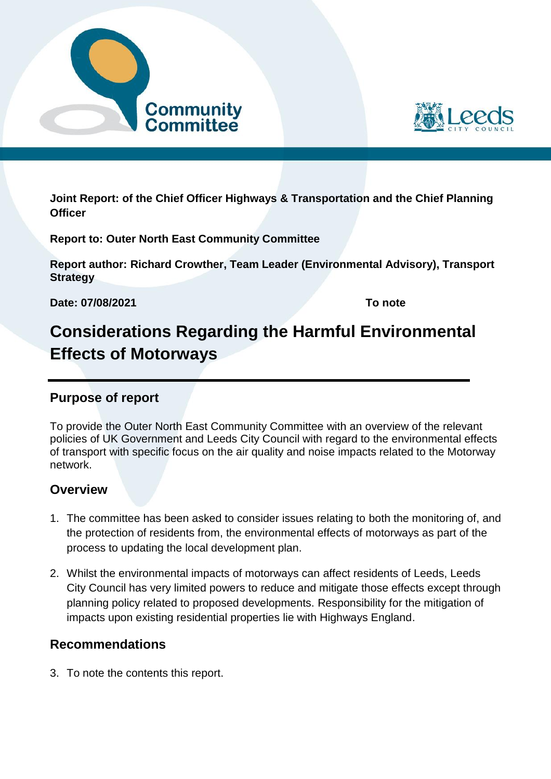



**Joint Report: of the Chief Officer Highways & Transportation and the Chief Planning Officer**

**Report to: Outer North East Community Committee**

**Report author: Richard Crowther, Team Leader (Environmental Advisory), Transport Strategy**

**Date: 07/08/2021 To note** 

# **Considerations Regarding the Harmful Environmental Effects of Motorways**

# **Purpose of report**

To provide the Outer North East Community Committee with an overview of the relevant policies of UK Government and Leeds City Council with regard to the environmental effects of transport with specific focus on the air quality and noise impacts related to the Motorway network.

# **Overview**

- 1. The committee has been asked to consider issues relating to both the monitoring of, and the protection of residents from, the environmental effects of motorways as part of the process to updating the local development plan.
- 2. Whilst the environmental impacts of motorways can affect residents of Leeds, Leeds City Council has very limited powers to reduce and mitigate those effects except through planning policy related to proposed developments. Responsibility for the mitigation of impacts upon existing residential properties lie with Highways England.

# **Recommendations**

3. To note the contents this report.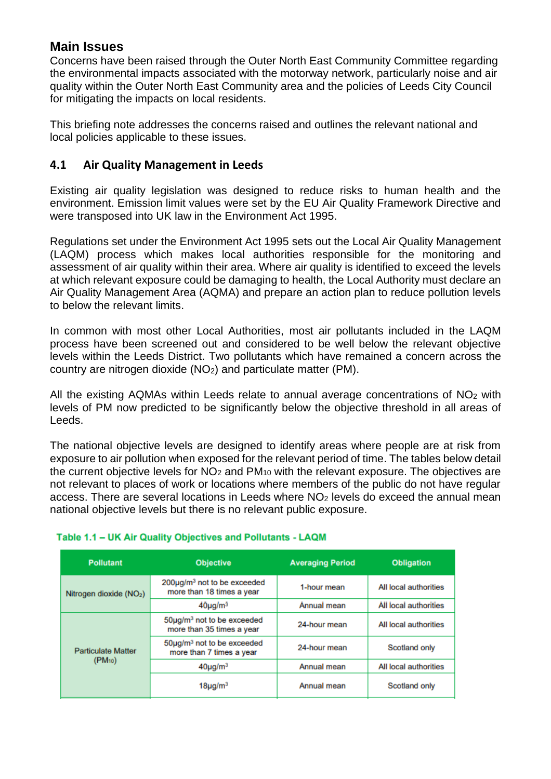## **Main Issues**

Concerns have been raised through the Outer North East Community Committee regarding the environmental impacts associated with the motorway network, particularly noise and air quality within the Outer North East Community area and the policies of Leeds City Council for mitigating the impacts on local residents.

This briefing note addresses the concerns raised and outlines the relevant national and local policies applicable to these issues.

#### **4.1 Air Quality Management in Leeds**

Existing air quality legislation was designed to reduce risks to human health and the environment. Emission limit values were set by the EU Air Quality Framework Directive and were transposed into UK law in the Environment Act 1995.

Regulations set under the Environment Act 1995 sets out the Local Air Quality Management (LAQM) process which makes local authorities responsible for the monitoring and assessment of air quality within their area. Where air quality is identified to exceed the levels at which relevant exposure could be damaging to health, the Local Authority must declare an Air Quality Management Area (AQMA) and prepare an action plan to reduce pollution levels to below the relevant limits.

In common with most other Local Authorities, most air pollutants included in the LAQM process have been screened out and considered to be well below the relevant objective levels within the Leeds District. Two pollutants which have remained a concern across the country are nitrogen dioxide (NO2) and particulate matter (PM).

All the existing AQMAs within Leeds relate to annual average concentrations of NO<sub>2</sub> with levels of PM now predicted to be significantly below the objective threshold in all areas of Leeds.

The national objective levels are designed to identify areas where people are at risk from exposure to air pollution when exposed for the relevant period of time. The tables below detail the current objective levels for  $NO<sub>2</sub>$  and  $PM<sub>10</sub>$  with the relevant exposure. The objectives are not relevant to places of work or locations where members of the public do not have regular access. There are several locations in Leeds where NO<sub>2</sub> levels do exceed the annual mean national objective levels but there is no relevant public exposure.

| <b>Pollutant</b>                         | <b>Objective</b>                                                   | <b>Averaging Period</b> | <b>Obligation</b>     |
|------------------------------------------|--------------------------------------------------------------------|-------------------------|-----------------------|
| Nitrogen dioxide (NO <sub>2</sub> )      | $200\mu g/m3$ not to be exceeded<br>more than 18 times a year      | 1-hour mean             | All local authorities |
|                                          | $40\mu g/m3$                                                       | Annual mean             | All local authorities |
| <b>Particulate Matter</b><br>$(PM_{10})$ | $50\mu g/m3$ not to be exceeded<br>more than 35 times a year       | 24-hour mean            | All local authorities |
|                                          | 50µg/m <sup>3</sup> not to be exceeded<br>more than 7 times a year | 24-hour mean            | Scotland only         |
|                                          | $40\mu g/m3$                                                       | Annual mean             | All local authorities |
|                                          | $18\mu$ g/m $^3$                                                   | Annual mean             | Scotland only         |

#### Table 1.1 - UK Air Quality Objectives and Pollutants - LAQM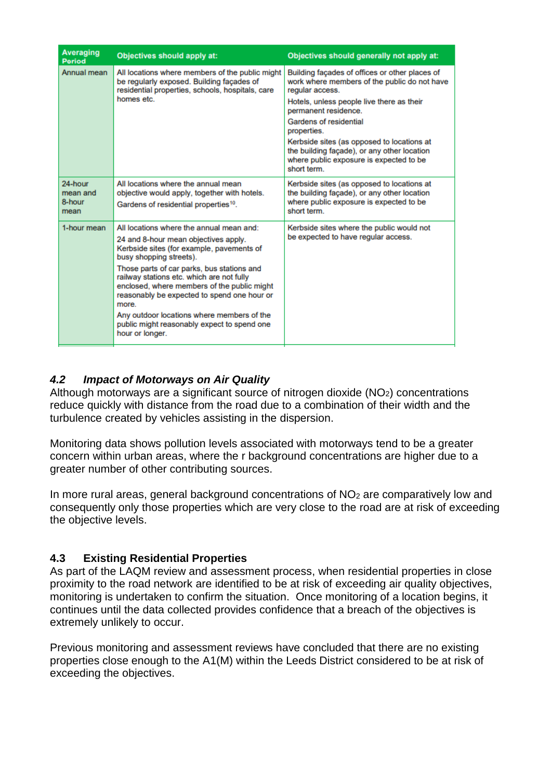| <b>Averaging</b><br><b>Period</b>     | Objectives should apply at:                                                                                                                                                                    | Objectives should generally not apply at:                                                                                                                                              |  |
|---------------------------------------|------------------------------------------------------------------------------------------------------------------------------------------------------------------------------------------------|----------------------------------------------------------------------------------------------------------------------------------------------------------------------------------------|--|
| Annual mean                           | All locations where members of the public might<br>be regularly exposed. Building facades of<br>residential properties, schools, hospitals, care<br>homes etc.                                 | Building façades of offices or other places of<br>work where members of the public do not have<br>regular access.<br>Hotels, unless people live there as their<br>permanent residence. |  |
|                                       |                                                                                                                                                                                                | Gardens of residential<br>properties.                                                                                                                                                  |  |
|                                       |                                                                                                                                                                                                | Kerbside sites (as opposed to locations at<br>the building façade), or any other location<br>where public exposure is expected to be<br>short term.                                    |  |
| 24-hour<br>mean and<br>8-hour<br>mean | All locations where the annual mean<br>objective would apply, together with hotels.<br>Gardens of residential properties <sup>10</sup> .                                                       | Kerbside sites (as opposed to locations at<br>the building facade), or any other location<br>where public exposure is expected to be<br>short term.                                    |  |
| 1-hour mean                           | All locations where the annual mean and:<br>24 and 8-hour mean objectives apply.<br>Kerbside sites (for example, pavements of<br>busy shopping streets).                                       | Kerbside sites where the public would not<br>be expected to have regular access.                                                                                                       |  |
|                                       | Those parts of car parks, bus stations and<br>railway stations etc. which are not fully<br>enclosed, where members of the public might<br>reasonably be expected to spend one hour or<br>more. |                                                                                                                                                                                        |  |
|                                       | Any outdoor locations where members of the<br>public might reasonably expect to spend one<br>hour or longer.                                                                                   |                                                                                                                                                                                        |  |

#### *4.2 Impact of Motorways on Air Quality*

Although motorways are a significant source of nitrogen dioxide (NO2) concentrations reduce quickly with distance from the road due to a combination of their width and the turbulence created by vehicles assisting in the dispersion.

Monitoring data shows pollution levels associated with motorways tend to be a greater concern within urban areas, where the r background concentrations are higher due to a greater number of other contributing sources.

In more rural areas, general background concentrations of NO<sub>2</sub> are comparatively low and consequently only those properties which are very close to the road are at risk of exceeding the objective levels.

#### **4.3 Existing Residential Properties**

As part of the LAQM review and assessment process, when residential properties in close proximity to the road network are identified to be at risk of exceeding air quality objectives, monitoring is undertaken to confirm the situation. Once monitoring of a location begins, it continues until the data collected provides confidence that a breach of the objectives is extremely unlikely to occur.

Previous monitoring and assessment reviews have concluded that there are no existing properties close enough to the A1(M) within the Leeds District considered to be at risk of exceeding the objectives.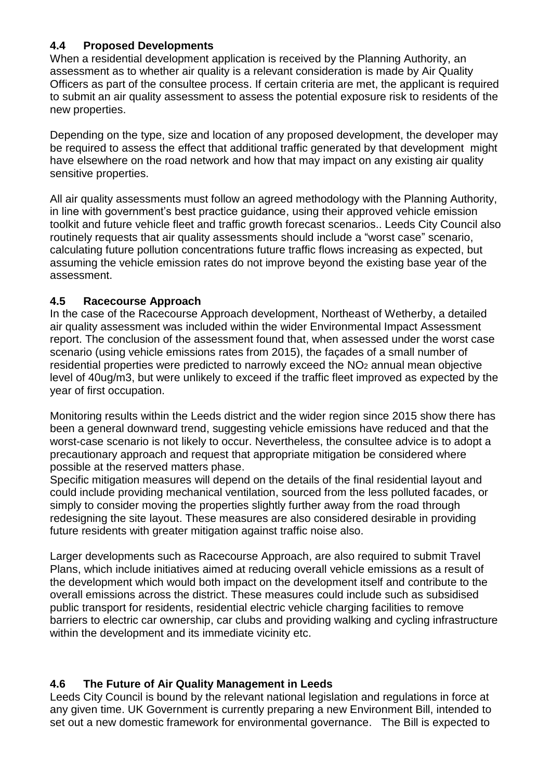#### **4.4 Proposed Developments**

When a residential development application is received by the Planning Authority, an assessment as to whether air quality is a relevant consideration is made by Air Quality Officers as part of the consultee process. If certain criteria are met, the applicant is required to submit an air quality assessment to assess the potential exposure risk to residents of the new properties.

Depending on the type, size and location of any proposed development, the developer may be required to assess the effect that additional traffic generated by that development might have elsewhere on the road network and how that may impact on any existing air quality sensitive properties.

All air quality assessments must follow an agreed methodology with the Planning Authority, in line with government's best practice guidance, using their approved vehicle emission toolkit and future vehicle fleet and traffic growth forecast scenarios.. Leeds City Council also routinely requests that air quality assessments should include a "worst case" scenario, calculating future pollution concentrations future traffic flows increasing as expected, but assuming the vehicle emission rates do not improve beyond the existing base year of the assessment.

#### **4.5 Racecourse Approach**

In the case of the Racecourse Approach development, Northeast of Wetherby, a detailed air quality assessment was included within the wider Environmental Impact Assessment report. The conclusion of the assessment found that, when assessed under the worst case scenario (using vehicle emissions rates from 2015), the façades of a small number of residential properties were predicted to narrowly exceed the NO<sub>2</sub> annual mean objective level of 40ug/m3, but were unlikely to exceed if the traffic fleet improved as expected by the year of first occupation.

Monitoring results within the Leeds district and the wider region since 2015 show there has been a general downward trend, suggesting vehicle emissions have reduced and that the worst-case scenario is not likely to occur. Nevertheless, the consultee advice is to adopt a precautionary approach and request that appropriate mitigation be considered where possible at the reserved matters phase.

Specific mitigation measures will depend on the details of the final residential layout and could include providing mechanical ventilation, sourced from the less polluted facades, or simply to consider moving the properties slightly further away from the road through redesigning the site layout. These measures are also considered desirable in providing future residents with greater mitigation against traffic noise also.

Larger developments such as Racecourse Approach, are also required to submit Travel Plans, which include initiatives aimed at reducing overall vehicle emissions as a result of the development which would both impact on the development itself and contribute to the overall emissions across the district. These measures could include such as subsidised public transport for residents, residential electric vehicle charging facilities to remove barriers to electric car ownership, car clubs and providing walking and cycling infrastructure within the development and its immediate vicinity etc.

## **4.6 The Future of Air Quality Management in Leeds**

Leeds City Council is bound by the relevant national legislation and regulations in force at any given time. UK Government is currently preparing a new Environment Bill, intended to set out a new domestic framework for environmental governance. The Bill is expected to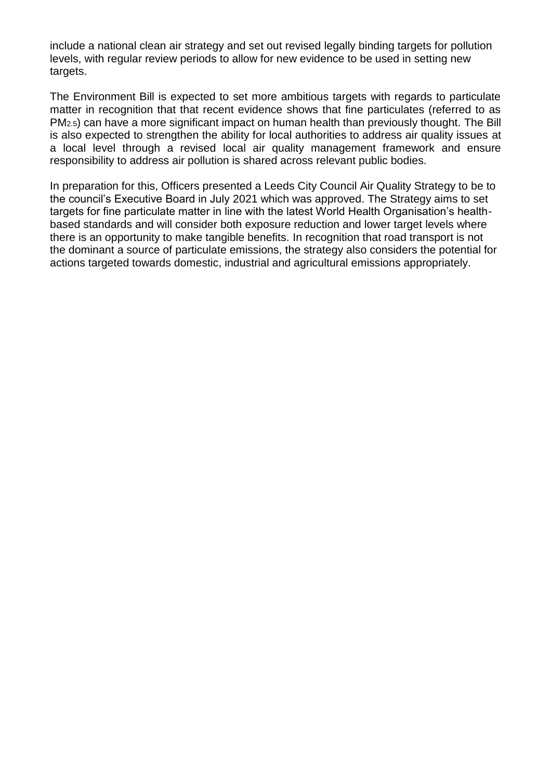include a national clean air strategy and set out revised legally binding targets for pollution levels, with regular review periods to allow for new evidence to be used in setting new targets.

The Environment Bill is expected to set more ambitious targets with regards to particulate matter in recognition that that recent evidence shows that fine particulates (referred to as PM2.5) can have a more significant impact on human health than previously thought. The Bill is also expected to strengthen the ability for local authorities to address air quality issues at a local level through a revised local air quality management framework and ensure responsibility to address air pollution is shared across relevant public bodies.

In preparation for this, Officers presented a Leeds City Council Air Quality Strategy to be to the council's Executive Board in July 2021 which was approved. The Strategy aims to set targets for fine particulate matter in line with the latest World Health Organisation's healthbased standards and will consider both exposure reduction and lower target levels where there is an opportunity to make tangible benefits. In recognition that road transport is not the dominant a source of particulate emissions, the strategy also considers the potential for actions targeted towards domestic, industrial and agricultural emissions appropriately.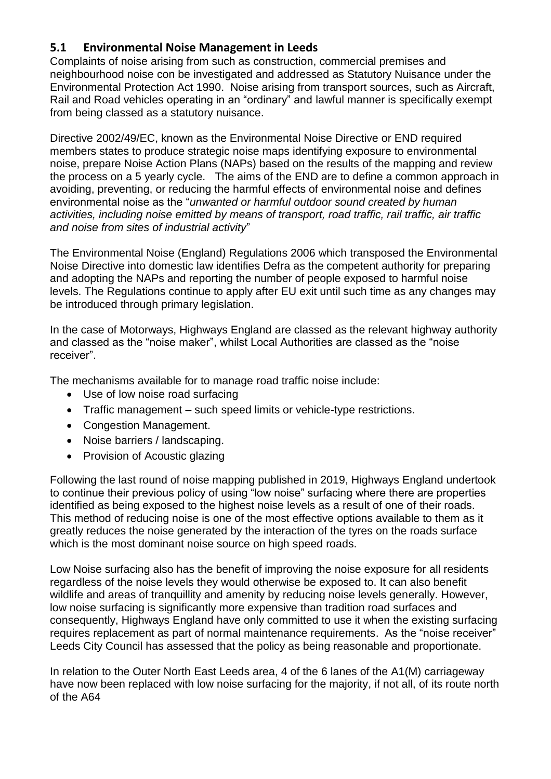## **5.1 Environmental Noise Management in Leeds**

Complaints of noise arising from such as construction, commercial premises and neighbourhood noise con be investigated and addressed as Statutory Nuisance under the Environmental Protection Act 1990. Noise arising from transport sources, such as Aircraft, Rail and Road vehicles operating in an "ordinary" and lawful manner is specifically exempt from being classed as a statutory nuisance.

Directive 2002/49/EC, known as the Environmental Noise Directive or END required members states to produce strategic noise maps identifying exposure to environmental noise, prepare Noise Action Plans (NAPs) based on the results of the mapping and review the process on a 5 yearly cycle. The aims of the END are to define a common approach in avoiding, preventing, or reducing the harmful effects of environmental noise and defines environmental noise as the "*unwanted or harmful outdoor sound created by human activities, including noise emitted by means of transport, road traffic, rail traffic, air traffic and noise from sites of industrial activity*"

The Environmental Noise (England) Regulations 2006 which transposed the Environmental Noise Directive into domestic law identifies Defra as the competent authority for preparing and adopting the NAPs and reporting the number of people exposed to harmful noise levels. The Regulations continue to apply after EU exit until such time as any changes may be introduced through primary legislation.

In the case of Motorways, Highways England are classed as the relevant highway authority and classed as the "noise maker", whilst Local Authorities are classed as the "noise receiver".

The mechanisms available for to manage road traffic noise include:

- Use of low noise road surfacing
- Traffic management such speed limits or vehicle-type restrictions.
- Congestion Management.
- Noise barriers / landscaping.
- Provision of Acoustic glazing

Following the last round of noise mapping published in 2019, Highways England undertook to continue their previous policy of using "low noise" surfacing where there are properties identified as being exposed to the highest noise levels as a result of one of their roads. This method of reducing noise is one of the most effective options available to them as it greatly reduces the noise generated by the interaction of the tyres on the roads surface which is the most dominant noise source on high speed roads.

Low Noise surfacing also has the benefit of improving the noise exposure for all residents regardless of the noise levels they would otherwise be exposed to. It can also benefit wildlife and areas of tranquillity and amenity by reducing noise levels generally. However, low noise surfacing is significantly more expensive than tradition road surfaces and consequently, Highways England have only committed to use it when the existing surfacing requires replacement as part of normal maintenance requirements. As the "noise receiver" Leeds City Council has assessed that the policy as being reasonable and proportionate.

In relation to the Outer North East Leeds area, 4 of the 6 lanes of the A1(M) carriageway have now been replaced with low noise surfacing for the majority, if not all, of its route north of the A64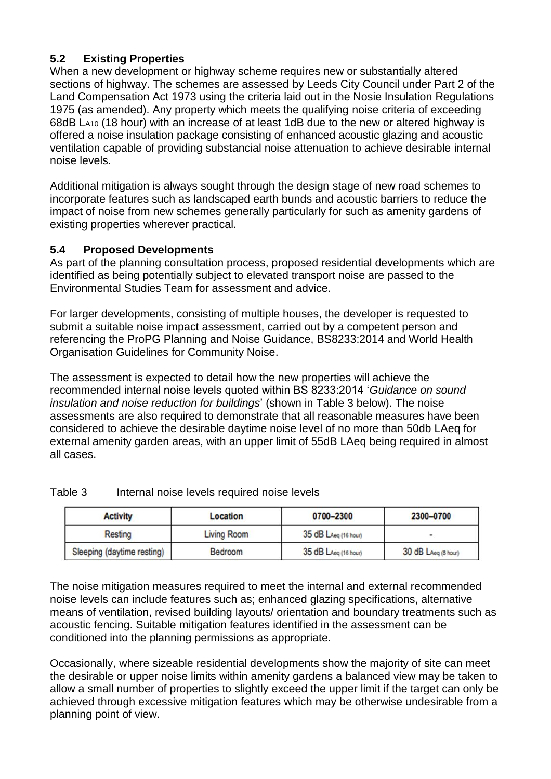#### **5.2 Existing Properties**

When a new development or highway scheme requires new or substantially altered sections of highway. The schemes are assessed by Leeds City Council under Part 2 of the Land Compensation Act 1973 using the criteria laid out in the Nosie Insulation Regulations 1975 (as amended). Any property which meets the qualifying noise criteria of exceeding 68dB LA10 (18 hour) with an increase of at least 1dB due to the new or altered highway is offered a noise insulation package consisting of enhanced acoustic glazing and acoustic ventilation capable of providing substancial noise attenuation to achieve desirable internal noise levels.

Additional mitigation is always sought through the design stage of new road schemes to incorporate features such as landscaped earth bunds and acoustic barriers to reduce the impact of noise from new schemes generally particularly for such as amenity gardens of existing properties wherever practical.

#### **5.4 Proposed Developments**

As part of the planning consultation process, proposed residential developments which are identified as being potentially subject to elevated transport noise are passed to the Environmental Studies Team for assessment and advice.

For larger developments, consisting of multiple houses, the developer is requested to submit a suitable noise impact assessment, carried out by a competent person and referencing the ProPG Planning and Noise Guidance, BS8233:2014 and World Health Organisation Guidelines for Community Noise.

The assessment is expected to detail how the new properties will achieve the recommended internal noise levels quoted within BS 8233:2014 '*Guidance on sound insulation and noise reduction for buildings*' (shown in Table 3 below). The noise assessments are also required to demonstrate that all reasonable measures have been considered to achieve the desirable daytime noise level of no more than 50db LAeq for external amenity garden areas, with an upper limit of 55dB LAeq being required in almost all cases.

| <b>Activity</b>            | Location    | 0700-2300            | 2300-0700                    |
|----------------------------|-------------|----------------------|------------------------------|
| Resting                    | Living Room | 35 dB LAeq (16 hour) | $\qquad \qquad \blacksquare$ |
| Sleeping (daytime resting) | Bedroom     | 35 dB LAeg (16 hour) | 30 dB LAeg (8 hour)          |

#### Table 3 Internal noise levels required noise levels

The noise mitigation measures required to meet the internal and external recommended noise levels can include features such as; enhanced glazing specifications, alternative means of ventilation, revised building layouts/ orientation and boundary treatments such as acoustic fencing. Suitable mitigation features identified in the assessment can be conditioned into the planning permissions as appropriate.

Occasionally, where sizeable residential developments show the majority of site can meet the desirable or upper noise limits within amenity gardens a balanced view may be taken to allow a small number of properties to slightly exceed the upper limit if the target can only be achieved through excessive mitigation features which may be otherwise undesirable from a planning point of view.